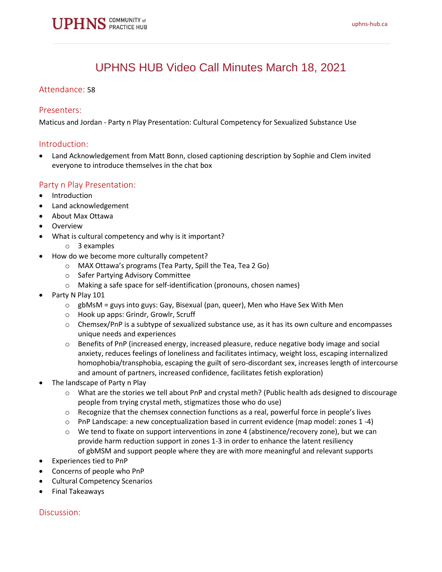# UPHNS HUB Video Call Minutes March 18, 2021

## Attendance: 58

#### Presenters:

Maticus and Jordan - Party n Play Presentation: Cultural Competency for Sexualized Substance Use

#### Introduction:

• Land Acknowledgement from Matt Bonn, closed captioning description by Sophie and Clem invited everyone to introduce themselves in the chat box

# Party n Play Presentation:

- Introduction
- Land acknowledgement
- About Max Ottawa
- **Overview** 
	- What is cultural competency and why is it important?
		- o 3 examples
- How do we become more culturally competent?
	- o MAX Ottawa's programs (Tea Party, Spill the Tea, Tea 2 Go)
	- o Safer Partying Advisory Committee
	- o Making a safe space for self-identification (pronouns, chosen names)
- Party N Play 101
	- $\circ$  gbMsM = guys into guys: Gay, Bisexual (pan, queer), Men who Have Sex With Men
	- o Hook up apps: Grindr, Growlr, Scruff
	- $\circ$  Chemsex/PnP is a subtype of sexualized substance use, as it has its own culture and encompasses unique needs and experiences
	- $\circ$  Benefits of PnP (increased energy, increased pleasure, reduce negative body image and social anxiety, reduces feelings of loneliness and facilitates intimacy, weight loss, escaping internalized homophobia/transphobia, escaping the guilt of sero-discordant sex, increases length of intercourse and amount of partners, increased confidence, facilitates fetish exploration)
- The landscape of Party n Play
	- o What are the stories we tell about PnP and crystal meth? (Public health ads designed to discourage people from trying crystal meth, stigmatizes those who do use)
	- $\circ$  Recognize that the chemsex connection functions as a real, powerful force in people's lives
	- $\circ$  PnP Landscape: a new conceptualization based in current evidence (map model: zones 1 -4)
	- $\circ$  We tend to fixate on support interventions in zone 4 (abstinence/recovery zone), but we can provide harm reduction support in zones 1-3 in order to enhance the latent resiliency of gbMSM and support people where they are with more meaningful and relevant supports
- Experiences tied to PnP
- Concerns of people who PnP
- Cultural Competency Scenarios
- Final Takeaways

#### Discussion: